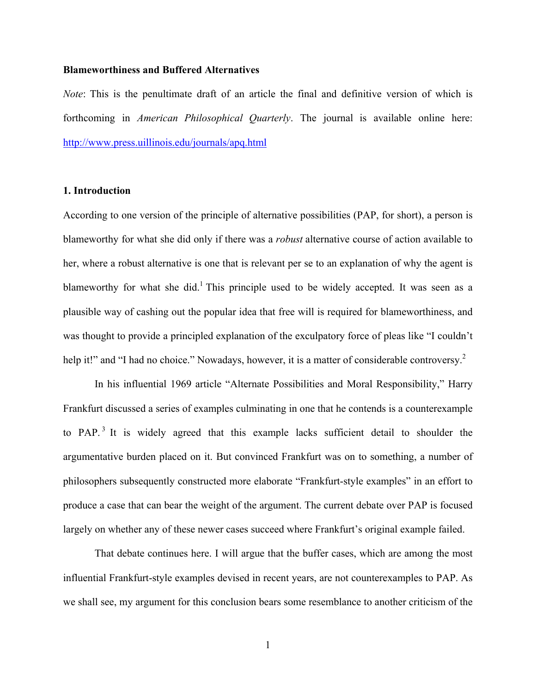## **Blameworthiness and Buffered Alternatives**

*Note*: This is the penultimate draft of an article the final and definitive version of which is forthcoming in *American Philosophical Quarterly*. The journal is available online here: http://www.press.uillinois.edu/journals/apq.html

# **1. Introduction**

According to one version of the principle of alternative possibilities (PAP, for short), a person is blameworthy for what she did only if there was a *robust* alternative course of action available to her, where a robust alternative is one that is relevant per se to an explanation of why the agent is blameworthy for what she did.<sup>1</sup> This principle used to be widely accepted. It was seen as a plausible way of cashing out the popular idea that free will is required for blameworthiness, and was thought to provide a principled explanation of the exculpatory force of pleas like "I couldn't help it!" and "I had no choice." Nowadays, however, it is a matter of considerable controversy.<sup>2</sup>

In his influential 1969 article "Alternate Possibilities and Moral Responsibility," Harry Frankfurt discussed a series of examples culminating in one that he contends is a counterexample to PAP.<sup>3</sup> It is widely agreed that this example lacks sufficient detail to shoulder the argumentative burden placed on it. But convinced Frankfurt was on to something, a number of philosophers subsequently constructed more elaborate "Frankfurt-style examples" in an effort to produce a case that can bear the weight of the argument. The current debate over PAP is focused largely on whether any of these newer cases succeed where Frankfurt's original example failed.

That debate continues here. I will argue that the buffer cases, which are among the most influential Frankfurt-style examples devised in recent years, are not counterexamples to PAP. As we shall see, my argument for this conclusion bears some resemblance to another criticism of the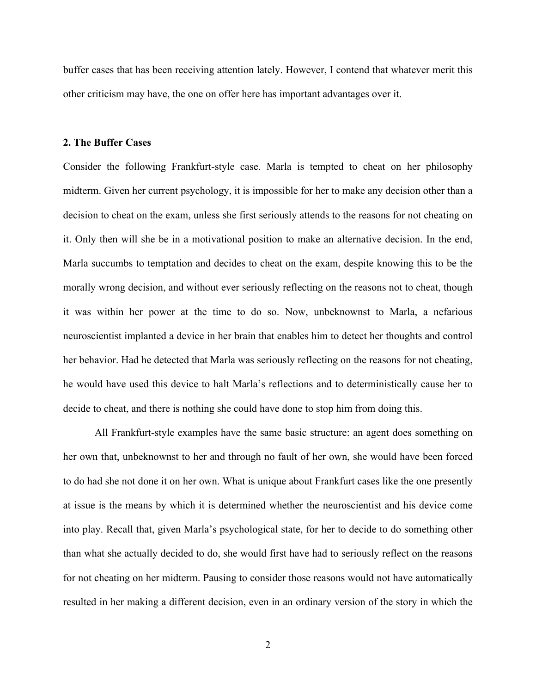buffer cases that has been receiving attention lately. However, I contend that whatever merit this other criticism may have, the one on offer here has important advantages over it.

### **2. The Buffer Cases**

Consider the following Frankfurt-style case. Marla is tempted to cheat on her philosophy midterm. Given her current psychology, it is impossible for her to make any decision other than a decision to cheat on the exam, unless she first seriously attends to the reasons for not cheating on it. Only then will she be in a motivational position to make an alternative decision. In the end, Marla succumbs to temptation and decides to cheat on the exam, despite knowing this to be the morally wrong decision, and without ever seriously reflecting on the reasons not to cheat, though it was within her power at the time to do so. Now, unbeknownst to Marla, a nefarious neuroscientist implanted a device in her brain that enables him to detect her thoughts and control her behavior. Had he detected that Marla was seriously reflecting on the reasons for not cheating, he would have used this device to halt Marla's reflections and to deterministically cause her to decide to cheat, and there is nothing she could have done to stop him from doing this.

All Frankfurt-style examples have the same basic structure: an agent does something on her own that, unbeknownst to her and through no fault of her own, she would have been forced to do had she not done it on her own. What is unique about Frankfurt cases like the one presently at issue is the means by which it is determined whether the neuroscientist and his device come into play. Recall that, given Marla's psychological state, for her to decide to do something other than what she actually decided to do, she would first have had to seriously reflect on the reasons for not cheating on her midterm. Pausing to consider those reasons would not have automatically resulted in her making a different decision, even in an ordinary version of the story in which the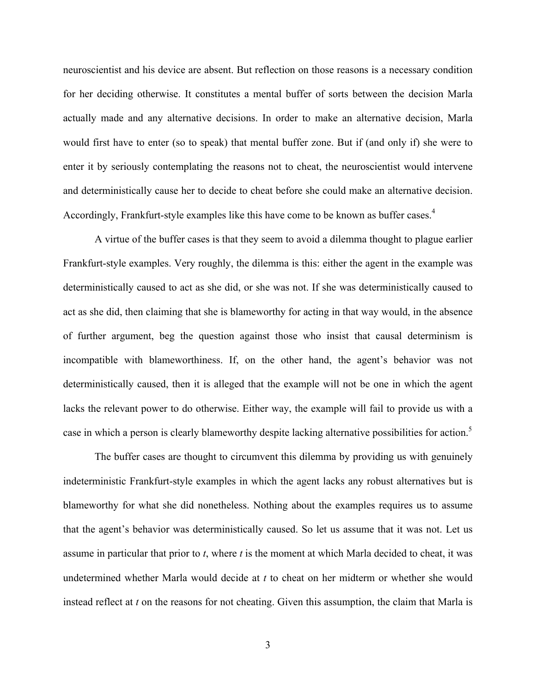neuroscientist and his device are absent. But reflection on those reasons is a necessary condition for her deciding otherwise. It constitutes a mental buffer of sorts between the decision Marla actually made and any alternative decisions. In order to make an alternative decision, Marla would first have to enter (so to speak) that mental buffer zone. But if (and only if) she were to enter it by seriously contemplating the reasons not to cheat, the neuroscientist would intervene and deterministically cause her to decide to cheat before she could make an alternative decision. Accordingly, Frankfurt-style examples like this have come to be known as buffer cases.<sup>4</sup>

A virtue of the buffer cases is that they seem to avoid a dilemma thought to plague earlier Frankfurt-style examples. Very roughly, the dilemma is this: either the agent in the example was deterministically caused to act as she did, or she was not. If she was deterministically caused to act as she did, then claiming that she is blameworthy for acting in that way would, in the absence of further argument, beg the question against those who insist that causal determinism is incompatible with blameworthiness. If, on the other hand, the agent's behavior was not deterministically caused, then it is alleged that the example will not be one in which the agent lacks the relevant power to do otherwise. Either way, the example will fail to provide us with a case in which a person is clearly blameworthy despite lacking alternative possibilities for action.<sup>5</sup>

The buffer cases are thought to circumvent this dilemma by providing us with genuinely indeterministic Frankfurt-style examples in which the agent lacks any robust alternatives but is blameworthy for what she did nonetheless. Nothing about the examples requires us to assume that the agent's behavior was deterministically caused. So let us assume that it was not. Let us assume in particular that prior to *t*, where *t* is the moment at which Marla decided to cheat, it was undetermined whether Marla would decide at *t* to cheat on her midterm or whether she would instead reflect at *t* on the reasons for not cheating. Given this assumption, the claim that Marla is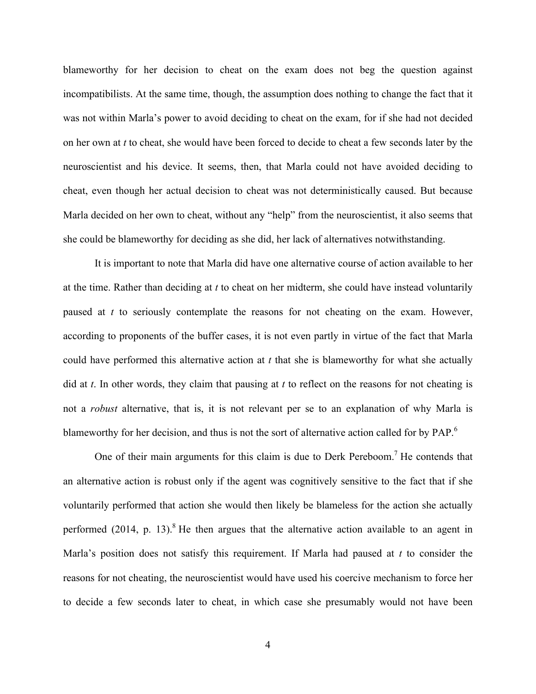blameworthy for her decision to cheat on the exam does not beg the question against incompatibilists. At the same time, though, the assumption does nothing to change the fact that it was not within Marla's power to avoid deciding to cheat on the exam, for if she had not decided on her own at *t* to cheat, she would have been forced to decide to cheat a few seconds later by the neuroscientist and his device. It seems, then, that Marla could not have avoided deciding to cheat, even though her actual decision to cheat was not deterministically caused. But because Marla decided on her own to cheat, without any "help" from the neuroscientist, it also seems that she could be blameworthy for deciding as she did, her lack of alternatives notwithstanding.

It is important to note that Marla did have one alternative course of action available to her at the time. Rather than deciding at *t* to cheat on her midterm, she could have instead voluntarily paused at *t* to seriously contemplate the reasons for not cheating on the exam. However, according to proponents of the buffer cases, it is not even partly in virtue of the fact that Marla could have performed this alternative action at *t* that she is blameworthy for what she actually did at *t*. In other words, they claim that pausing at *t* to reflect on the reasons for not cheating is not a *robust* alternative, that is, it is not relevant per se to an explanation of why Marla is blameworthy for her decision, and thus is not the sort of alternative action called for by PAP.<sup>6</sup>

One of their main arguments for this claim is due to Derk Pereboom.<sup>7</sup> He contends that an alternative action is robust only if the agent was cognitively sensitive to the fact that if she voluntarily performed that action she would then likely be blameless for the action she actually performed  $(2014, p. 13)$ .<sup>8</sup> He then argues that the alternative action available to an agent in Marla's position does not satisfy this requirement. If Marla had paused at *t* to consider the reasons for not cheating, the neuroscientist would have used his coercive mechanism to force her to decide a few seconds later to cheat, in which case she presumably would not have been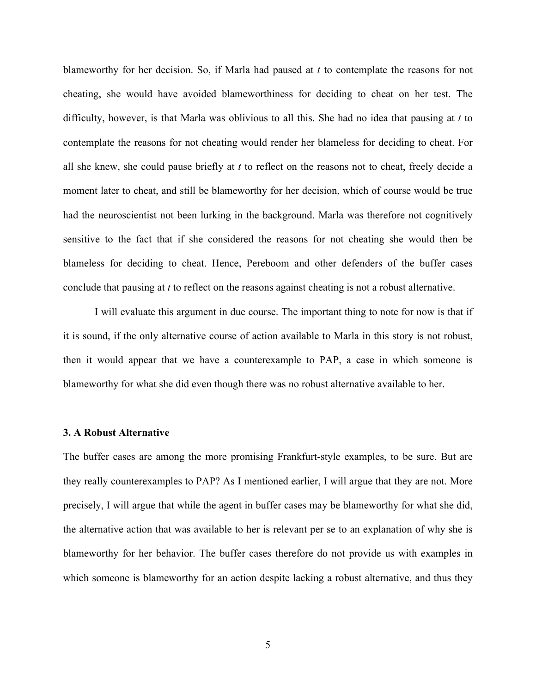blameworthy for her decision. So, if Marla had paused at *t* to contemplate the reasons for not cheating, she would have avoided blameworthiness for deciding to cheat on her test. The difficulty, however, is that Marla was oblivious to all this. She had no idea that pausing at *t* to contemplate the reasons for not cheating would render her blameless for deciding to cheat. For all she knew, she could pause briefly at *t* to reflect on the reasons not to cheat, freely decide a moment later to cheat, and still be blameworthy for her decision, which of course would be true had the neuroscientist not been lurking in the background. Marla was therefore not cognitively sensitive to the fact that if she considered the reasons for not cheating she would then be blameless for deciding to cheat. Hence, Pereboom and other defenders of the buffer cases conclude that pausing at *t* to reflect on the reasons against cheating is not a robust alternative.

I will evaluate this argument in due course. The important thing to note for now is that if it is sound, if the only alternative course of action available to Marla in this story is not robust, then it would appear that we have a counterexample to PAP, a case in which someone is blameworthy for what she did even though there was no robust alternative available to her.

## **3. A Robust Alternative**

The buffer cases are among the more promising Frankfurt-style examples, to be sure. But are they really counterexamples to PAP? As I mentioned earlier, I will argue that they are not. More precisely, I will argue that while the agent in buffer cases may be blameworthy for what she did, the alternative action that was available to her is relevant per se to an explanation of why she is blameworthy for her behavior. The buffer cases therefore do not provide us with examples in which someone is blameworthy for an action despite lacking a robust alternative, and thus they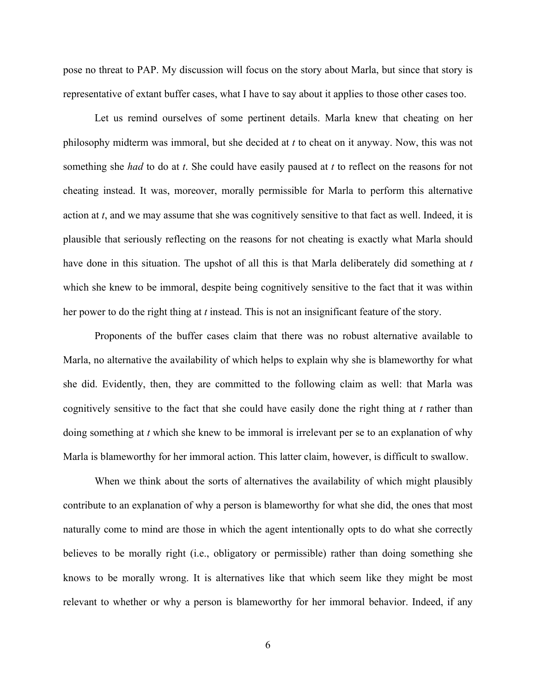pose no threat to PAP. My discussion will focus on the story about Marla, but since that story is representative of extant buffer cases, what I have to say about it applies to those other cases too.

Let us remind ourselves of some pertinent details. Marla knew that cheating on her philosophy midterm was immoral, but she decided at *t* to cheat on it anyway. Now, this was not something she *had* to do at *t*. She could have easily paused at *t* to reflect on the reasons for not cheating instead. It was, moreover, morally permissible for Marla to perform this alternative action at *t*, and we may assume that she was cognitively sensitive to that fact as well. Indeed, it is plausible that seriously reflecting on the reasons for not cheating is exactly what Marla should have done in this situation. The upshot of all this is that Marla deliberately did something at *t* which she knew to be immoral, despite being cognitively sensitive to the fact that it was within her power to do the right thing at *t* instead. This is not an insignificant feature of the story.

Proponents of the buffer cases claim that there was no robust alternative available to Marla, no alternative the availability of which helps to explain why she is blameworthy for what she did. Evidently, then, they are committed to the following claim as well: that Marla was cognitively sensitive to the fact that she could have easily done the right thing at *t* rather than doing something at *t* which she knew to be immoral is irrelevant per se to an explanation of why Marla is blameworthy for her immoral action. This latter claim, however, is difficult to swallow.

When we think about the sorts of alternatives the availability of which might plausibly contribute to an explanation of why a person is blameworthy for what she did, the ones that most naturally come to mind are those in which the agent intentionally opts to do what she correctly believes to be morally right (i.e., obligatory or permissible) rather than doing something she knows to be morally wrong. It is alternatives like that which seem like they might be most relevant to whether or why a person is blameworthy for her immoral behavior. Indeed, if any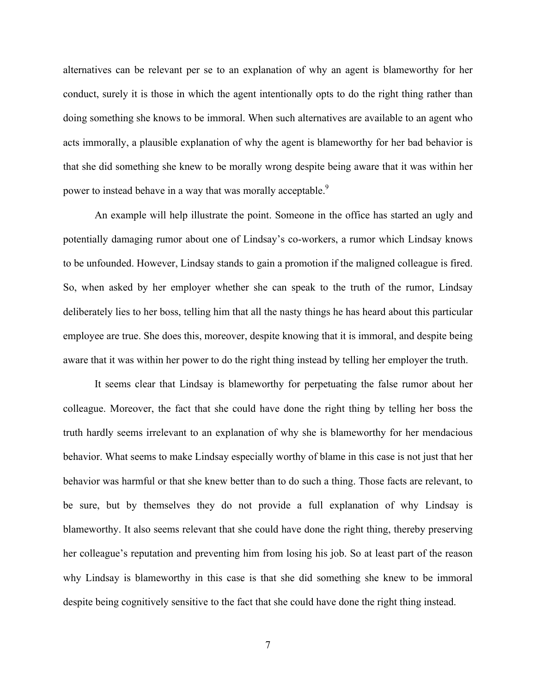alternatives can be relevant per se to an explanation of why an agent is blameworthy for her conduct, surely it is those in which the agent intentionally opts to do the right thing rather than doing something she knows to be immoral. When such alternatives are available to an agent who acts immorally, a plausible explanation of why the agent is blameworthy for her bad behavior is that she did something she knew to be morally wrong despite being aware that it was within her power to instead behave in a way that was morally acceptable.<sup>9</sup>

An example will help illustrate the point. Someone in the office has started an ugly and potentially damaging rumor about one of Lindsay's co-workers, a rumor which Lindsay knows to be unfounded. However, Lindsay stands to gain a promotion if the maligned colleague is fired. So, when asked by her employer whether she can speak to the truth of the rumor, Lindsay deliberately lies to her boss, telling him that all the nasty things he has heard about this particular employee are true. She does this, moreover, despite knowing that it is immoral, and despite being aware that it was within her power to do the right thing instead by telling her employer the truth.

It seems clear that Lindsay is blameworthy for perpetuating the false rumor about her colleague. Moreover, the fact that she could have done the right thing by telling her boss the truth hardly seems irrelevant to an explanation of why she is blameworthy for her mendacious behavior. What seems to make Lindsay especially worthy of blame in this case is not just that her behavior was harmful or that she knew better than to do such a thing. Those facts are relevant, to be sure, but by themselves they do not provide a full explanation of why Lindsay is blameworthy. It also seems relevant that she could have done the right thing, thereby preserving her colleague's reputation and preventing him from losing his job. So at least part of the reason why Lindsay is blameworthy in this case is that she did something she knew to be immoral despite being cognitively sensitive to the fact that she could have done the right thing instead.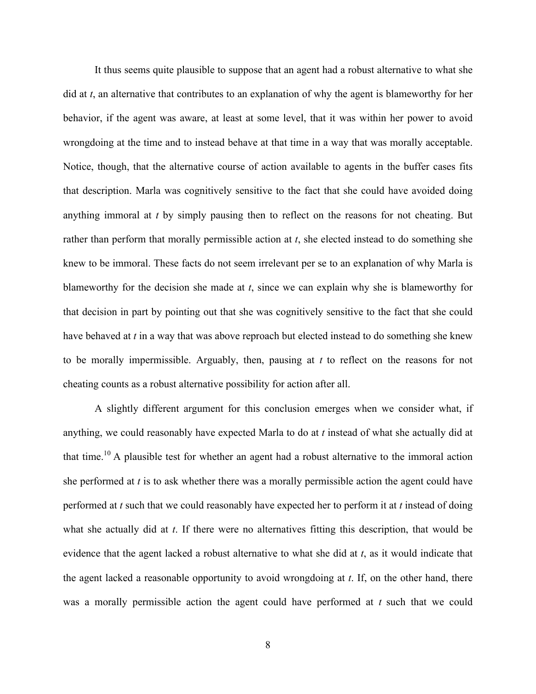It thus seems quite plausible to suppose that an agent had a robust alternative to what she did at *t*, an alternative that contributes to an explanation of why the agent is blameworthy for her behavior, if the agent was aware, at least at some level, that it was within her power to avoid wrongdoing at the time and to instead behave at that time in a way that was morally acceptable. Notice, though, that the alternative course of action available to agents in the buffer cases fits that description. Marla was cognitively sensitive to the fact that she could have avoided doing anything immoral at *t* by simply pausing then to reflect on the reasons for not cheating. But rather than perform that morally permissible action at *t*, she elected instead to do something she knew to be immoral. These facts do not seem irrelevant per se to an explanation of why Marla is blameworthy for the decision she made at *t*, since we can explain why she is blameworthy for that decision in part by pointing out that she was cognitively sensitive to the fact that she could have behaved at *t* in a way that was above reproach but elected instead to do something she knew to be morally impermissible. Arguably, then, pausing at *t* to reflect on the reasons for not cheating counts as a robust alternative possibility for action after all.

A slightly different argument for this conclusion emerges when we consider what, if anything, we could reasonably have expected Marla to do at *t* instead of what she actually did at that time.<sup>10</sup> A plausible test for whether an agent had a robust alternative to the immoral action she performed at *t* is to ask whether there was a morally permissible action the agent could have performed at *t* such that we could reasonably have expected her to perform it at *t* instead of doing what she actually did at *t*. If there were no alternatives fitting this description, that would be evidence that the agent lacked a robust alternative to what she did at *t*, as it would indicate that the agent lacked a reasonable opportunity to avoid wrongdoing at *t*. If, on the other hand, there was a morally permissible action the agent could have performed at *t* such that we could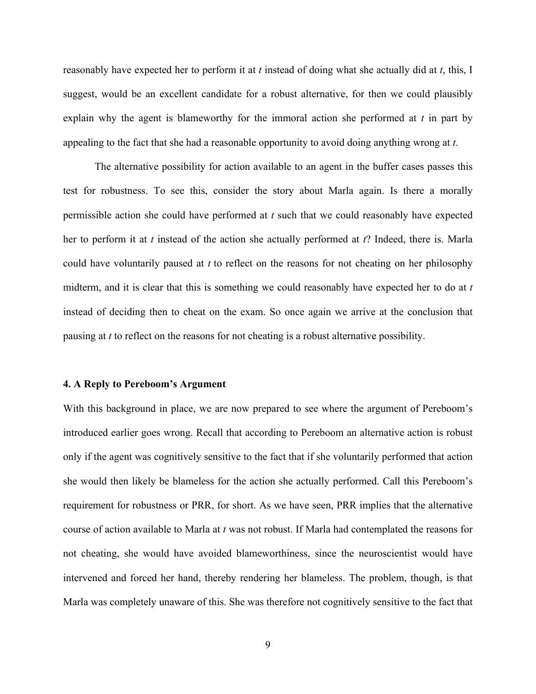reasonably have expected her to perform it at *t* instead of doing what she actually did at *t*, this, I suggest, would be an excellent candidate for a robust alternative, for then we could plausibly explain why the agent is blameworthy for the immoral action she performed at *t* in part by appealing to the fact that she had a reasonable opportunity to avoid doing anything wrong at *t*.

The alternative possibility for action available to an agent in the buffer cases passes this test for robustness. To see this, consider the story about Marla again. Is there a morally permissible action she could have performed at *t* such that we could reasonably have expected her to perform it at *t* instead of the action she actually performed at *t*? Indeed, there is. Marla could have voluntarily paused at *t* to reflect on the reasons for not cheating on her philosophy midterm, and it is clear that this is something we could reasonably have expected her to do at *t* instead of deciding then to cheat on the exam. So once again we arrive at the conclusion that pausing at *t* to reflect on the reasons for not cheating is a robust alternative possibility.

#### **4. A Reply to Pereboom's Argument**

With this background in place, we are now prepared to see where the argument of Pereboom's introduced earlier goes wrong. Recall that according to Pereboom an alternative action is robust only if the agent was cognitively sensitive to the fact that if she voluntarily performed that action she would then likely be blameless for the action she actually performed. Call this Pereboom's requirement for robustness or PRR, for short. As we have seen, PRR implies that the alternative course of action available to Marla at *t* was not robust. If Marla had contemplated the reasons for not cheating, she would have avoided blameworthiness, since the neuroscientist would have intervened and forced her hand, thereby rendering her blameless. The problem, though, is that Marla was completely unaware of this. She was therefore not cognitively sensitive to the fact that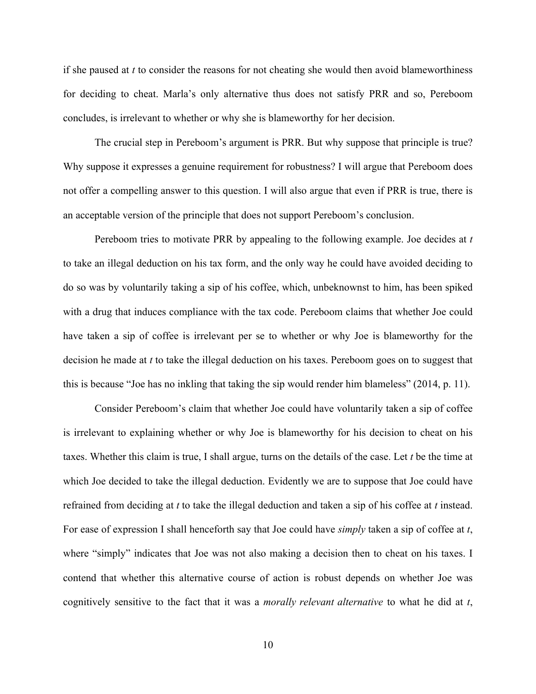if she paused at *t* to consider the reasons for not cheating she would then avoid blameworthiness for deciding to cheat. Marla's only alternative thus does not satisfy PRR and so, Pereboom concludes, is irrelevant to whether or why she is blameworthy for her decision.

The crucial step in Pereboom's argument is PRR. But why suppose that principle is true? Why suppose it expresses a genuine requirement for robustness? I will argue that Pereboom does not offer a compelling answer to this question. I will also argue that even if PRR is true, there is an acceptable version of the principle that does not support Pereboom's conclusion.

Pereboom tries to motivate PRR by appealing to the following example. Joe decides at *t* to take an illegal deduction on his tax form, and the only way he could have avoided deciding to do so was by voluntarily taking a sip of his coffee, which, unbeknownst to him, has been spiked with a drug that induces compliance with the tax code. Pereboom claims that whether Joe could have taken a sip of coffee is irrelevant per se to whether or why Joe is blameworthy for the decision he made at *t* to take the illegal deduction on his taxes. Pereboom goes on to suggest that this is because "Joe has no inkling that taking the sip would render him blameless" (2014, p. 11).

Consider Pereboom's claim that whether Joe could have voluntarily taken a sip of coffee is irrelevant to explaining whether or why Joe is blameworthy for his decision to cheat on his taxes. Whether this claim is true, I shall argue, turns on the details of the case. Let *t* be the time at which Joe decided to take the illegal deduction. Evidently we are to suppose that Joe could have refrained from deciding at *t* to take the illegal deduction and taken a sip of his coffee at *t* instead. For ease of expression I shall henceforth say that Joe could have *simply* taken a sip of coffee at *t*, where "simply" indicates that Joe was not also making a decision then to cheat on his taxes. I contend that whether this alternative course of action is robust depends on whether Joe was cognitively sensitive to the fact that it was a *morally relevant alternative* to what he did at *t*,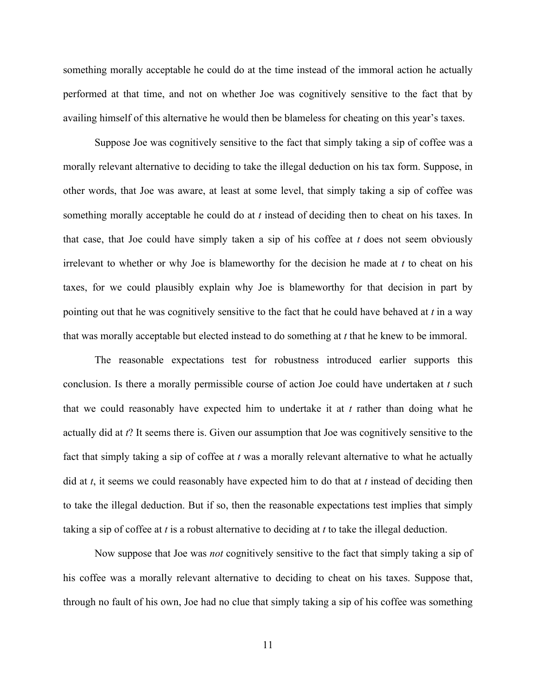something morally acceptable he could do at the time instead of the immoral action he actually performed at that time, and not on whether Joe was cognitively sensitive to the fact that by availing himself of this alternative he would then be blameless for cheating on this year's taxes.

Suppose Joe was cognitively sensitive to the fact that simply taking a sip of coffee was a morally relevant alternative to deciding to take the illegal deduction on his tax form. Suppose, in other words, that Joe was aware, at least at some level, that simply taking a sip of coffee was something morally acceptable he could do at *t* instead of deciding then to cheat on his taxes. In that case, that Joe could have simply taken a sip of his coffee at *t* does not seem obviously irrelevant to whether or why Joe is blameworthy for the decision he made at *t* to cheat on his taxes, for we could plausibly explain why Joe is blameworthy for that decision in part by pointing out that he was cognitively sensitive to the fact that he could have behaved at *t* in a way that was morally acceptable but elected instead to do something at *t* that he knew to be immoral.

The reasonable expectations test for robustness introduced earlier supports this conclusion. Is there a morally permissible course of action Joe could have undertaken at *t* such that we could reasonably have expected him to undertake it at *t* rather than doing what he actually did at *t*? It seems there is. Given our assumption that Joe was cognitively sensitive to the fact that simply taking a sip of coffee at *t* was a morally relevant alternative to what he actually did at *t*, it seems we could reasonably have expected him to do that at *t* instead of deciding then to take the illegal deduction. But if so, then the reasonable expectations test implies that simply taking a sip of coffee at *t* is a robust alternative to deciding at *t* to take the illegal deduction.

Now suppose that Joe was *not* cognitively sensitive to the fact that simply taking a sip of his coffee was a morally relevant alternative to deciding to cheat on his taxes. Suppose that, through no fault of his own, Joe had no clue that simply taking a sip of his coffee was something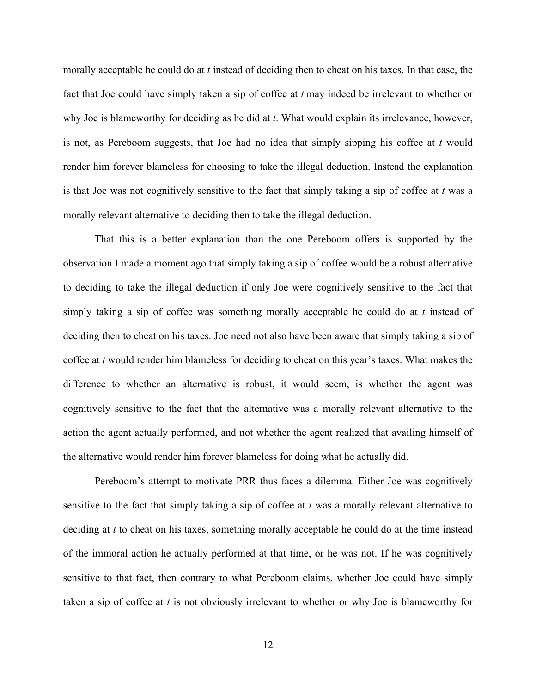morally acceptable he could do at *t* instead of deciding then to cheat on his taxes. In that case, the fact that Joe could have simply taken a sip of coffee at *t* may indeed be irrelevant to whether or why Joe is blameworthy for deciding as he did at *t*. What would explain its irrelevance, however, is not, as Pereboom suggests, that Joe had no idea that simply sipping his coffee at *t* would render him forever blameless for choosing to take the illegal deduction. Instead the explanation is that Joe was not cognitively sensitive to the fact that simply taking a sip of coffee at *t* was a morally relevant alternative to deciding then to take the illegal deduction.

That this is a better explanation than the one Pereboom offers is supported by the observation I made a moment ago that simply taking a sip of coffee would be a robust alternative to deciding to take the illegal deduction if only Joe were cognitively sensitive to the fact that simply taking a sip of coffee was something morally acceptable he could do at *t* instead of deciding then to cheat on his taxes. Joe need not also have been aware that simply taking a sip of coffee at *t* would render him blameless for deciding to cheat on this year's taxes. What makes the difference to whether an alternative is robust, it would seem, is whether the agent was cognitively sensitive to the fact that the alternative was a morally relevant alternative to the action the agent actually performed, and not whether the agent realized that availing himself of the alternative would render him forever blameless for doing what he actually did.

Pereboom's attempt to motivate PRR thus faces a dilemma. Either Joe was cognitively sensitive to the fact that simply taking a sip of coffee at *t* was a morally relevant alternative to deciding at *t* to cheat on his taxes, something morally acceptable he could do at the time instead of the immoral action he actually performed at that time, or he was not. If he was cognitively sensitive to that fact, then contrary to what Pereboom claims, whether Joe could have simply taken a sip of coffee at *t* is not obviously irrelevant to whether or why Joe is blameworthy for

12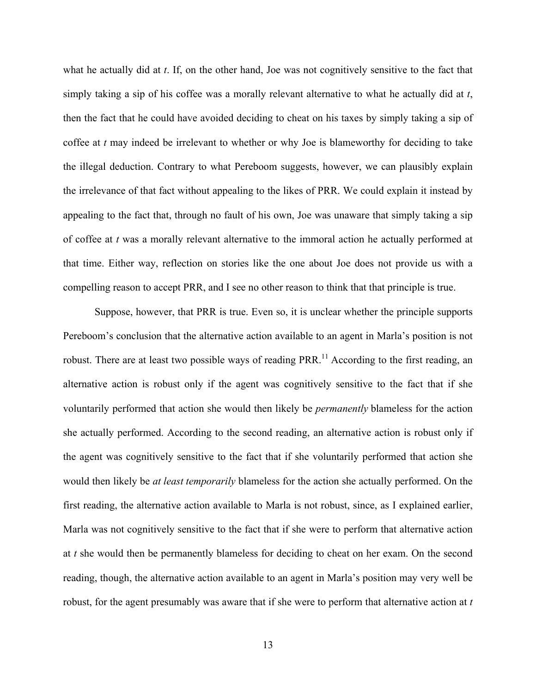what he actually did at *t*. If, on the other hand, Joe was not cognitively sensitive to the fact that simply taking a sip of his coffee was a morally relevant alternative to what he actually did at *t*, then the fact that he could have avoided deciding to cheat on his taxes by simply taking a sip of coffee at *t* may indeed be irrelevant to whether or why Joe is blameworthy for deciding to take the illegal deduction. Contrary to what Pereboom suggests, however, we can plausibly explain the irrelevance of that fact without appealing to the likes of PRR. We could explain it instead by appealing to the fact that, through no fault of his own, Joe was unaware that simply taking a sip of coffee at *t* was a morally relevant alternative to the immoral action he actually performed at that time. Either way, reflection on stories like the one about Joe does not provide us with a compelling reason to accept PRR, and I see no other reason to think that that principle is true.

Suppose, however, that PRR is true. Even so, it is unclear whether the principle supports Pereboom's conclusion that the alternative action available to an agent in Marla's position is not robust. There are at least two possible ways of reading PRR.<sup>11</sup> According to the first reading, an alternative action is robust only if the agent was cognitively sensitive to the fact that if she voluntarily performed that action she would then likely be *permanently* blameless for the action she actually performed. According to the second reading, an alternative action is robust only if the agent was cognitively sensitive to the fact that if she voluntarily performed that action she would then likely be *at least temporarily* blameless for the action she actually performed. On the first reading, the alternative action available to Marla is not robust, since, as I explained earlier, Marla was not cognitively sensitive to the fact that if she were to perform that alternative action at *t* she would then be permanently blameless for deciding to cheat on her exam. On the second reading, though, the alternative action available to an agent in Marla's position may very well be robust, for the agent presumably was aware that if she were to perform that alternative action at *t*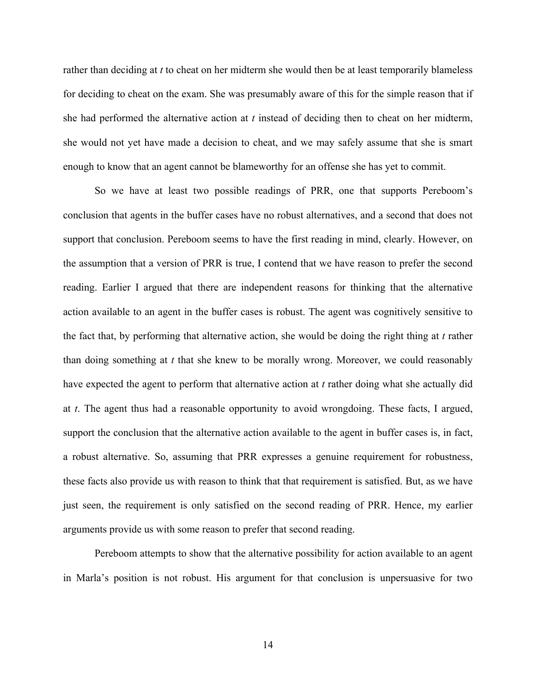rather than deciding at *t* to cheat on her midterm she would then be at least temporarily blameless for deciding to cheat on the exam. She was presumably aware of this for the simple reason that if she had performed the alternative action at *t* instead of deciding then to cheat on her midterm, she would not yet have made a decision to cheat, and we may safely assume that she is smart enough to know that an agent cannot be blameworthy for an offense she has yet to commit.

So we have at least two possible readings of PRR, one that supports Pereboom's conclusion that agents in the buffer cases have no robust alternatives, and a second that does not support that conclusion. Pereboom seems to have the first reading in mind, clearly. However, on the assumption that a version of PRR is true, I contend that we have reason to prefer the second reading. Earlier I argued that there are independent reasons for thinking that the alternative action available to an agent in the buffer cases is robust. The agent was cognitively sensitive to the fact that, by performing that alternative action, she would be doing the right thing at *t* rather than doing something at *t* that she knew to be morally wrong. Moreover, we could reasonably have expected the agent to perform that alternative action at *t* rather doing what she actually did at *t*. The agent thus had a reasonable opportunity to avoid wrongdoing. These facts, I argued, support the conclusion that the alternative action available to the agent in buffer cases is, in fact, a robust alternative. So, assuming that PRR expresses a genuine requirement for robustness, these facts also provide us with reason to think that that requirement is satisfied. But, as we have just seen, the requirement is only satisfied on the second reading of PRR. Hence, my earlier arguments provide us with some reason to prefer that second reading.

Pereboom attempts to show that the alternative possibility for action available to an agent in Marla's position is not robust. His argument for that conclusion is unpersuasive for two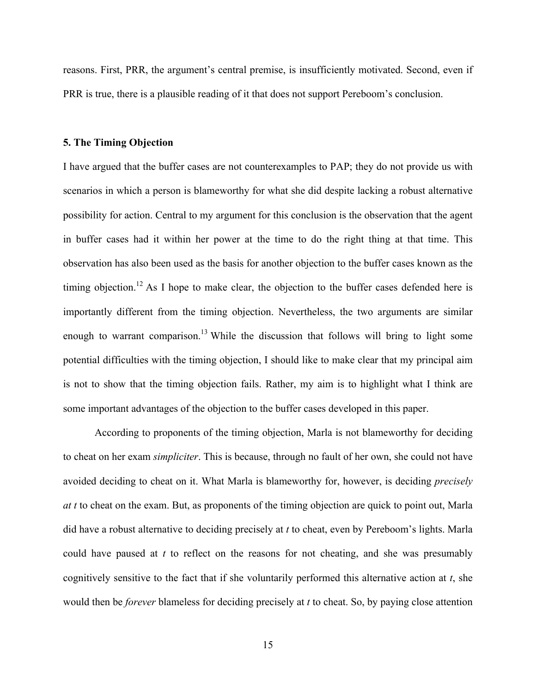reasons. First, PRR, the argument's central premise, is insufficiently motivated. Second, even if PRR is true, there is a plausible reading of it that does not support Pereboom's conclusion.

### **5. The Timing Objection**

I have argued that the buffer cases are not counterexamples to PAP; they do not provide us with scenarios in which a person is blameworthy for what she did despite lacking a robust alternative possibility for action. Central to my argument for this conclusion is the observation that the agent in buffer cases had it within her power at the time to do the right thing at that time. This observation has also been used as the basis for another objection to the buffer cases known as the timing objection.<sup>12</sup> As I hope to make clear, the objection to the buffer cases defended here is importantly different from the timing objection. Nevertheless, the two arguments are similar enough to warrant comparison.<sup>13</sup> While the discussion that follows will bring to light some potential difficulties with the timing objection, I should like to make clear that my principal aim is not to show that the timing objection fails. Rather, my aim is to highlight what I think are some important advantages of the objection to the buffer cases developed in this paper.

According to proponents of the timing objection, Marla is not blameworthy for deciding to cheat on her exam *simpliciter*. This is because, through no fault of her own, she could not have avoided deciding to cheat on it. What Marla is blameworthy for, however, is deciding *precisely at t* to cheat on the exam. But, as proponents of the timing objection are quick to point out, Marla did have a robust alternative to deciding precisely at *t* to cheat, even by Pereboom's lights. Marla could have paused at *t* to reflect on the reasons for not cheating, and she was presumably cognitively sensitive to the fact that if she voluntarily performed this alternative action at *t*, she would then be *forever* blameless for deciding precisely at *t* to cheat. So, by paying close attention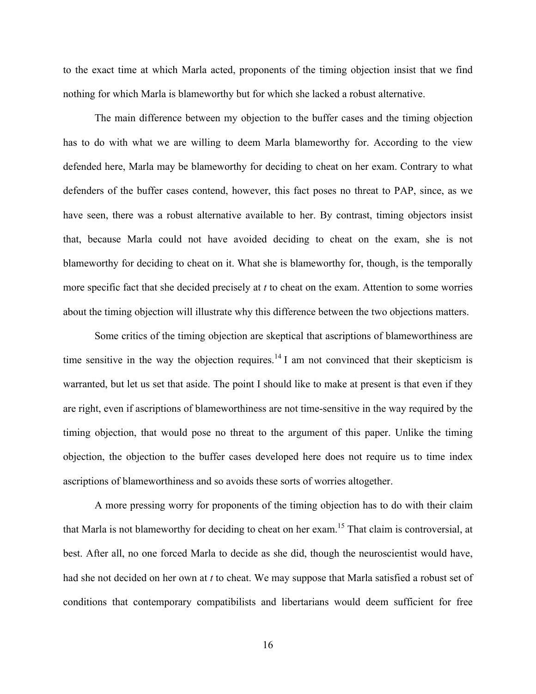to the exact time at which Marla acted, proponents of the timing objection insist that we find nothing for which Marla is blameworthy but for which she lacked a robust alternative.

The main difference between my objection to the buffer cases and the timing objection has to do with what we are willing to deem Marla blameworthy for. According to the view defended here, Marla may be blameworthy for deciding to cheat on her exam. Contrary to what defenders of the buffer cases contend, however, this fact poses no threat to PAP, since, as we have seen, there was a robust alternative available to her. By contrast, timing objectors insist that, because Marla could not have avoided deciding to cheat on the exam, she is not blameworthy for deciding to cheat on it. What she is blameworthy for, though, is the temporally more specific fact that she decided precisely at *t* to cheat on the exam. Attention to some worries about the timing objection will illustrate why this difference between the two objections matters.

Some critics of the timing objection are skeptical that ascriptions of blameworthiness are time sensitive in the way the objection requires.<sup>14</sup> I am not convinced that their skepticism is warranted, but let us set that aside. The point I should like to make at present is that even if they are right, even if ascriptions of blameworthiness are not time-sensitive in the way required by the timing objection, that would pose no threat to the argument of this paper. Unlike the timing objection, the objection to the buffer cases developed here does not require us to time index ascriptions of blameworthiness and so avoids these sorts of worries altogether.

A more pressing worry for proponents of the timing objection has to do with their claim that Marla is not blameworthy for deciding to cheat on her exam.<sup>15</sup> That claim is controversial, at best. After all, no one forced Marla to decide as she did, though the neuroscientist would have, had she not decided on her own at *t* to cheat. We may suppose that Marla satisfied a robust set of conditions that contemporary compatibilists and libertarians would deem sufficient for free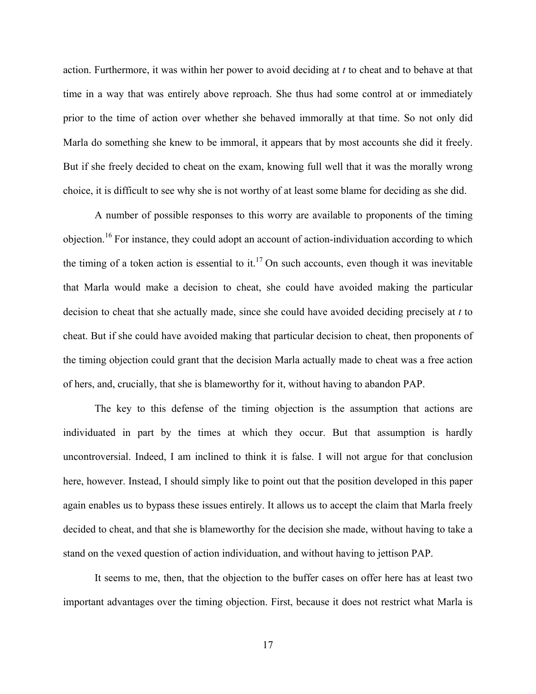action. Furthermore, it was within her power to avoid deciding at *t* to cheat and to behave at that time in a way that was entirely above reproach. She thus had some control at or immediately prior to the time of action over whether she behaved immorally at that time. So not only did Marla do something she knew to be immoral, it appears that by most accounts she did it freely. But if she freely decided to cheat on the exam, knowing full well that it was the morally wrong choice, it is difficult to see why she is not worthy of at least some blame for deciding as she did.

A number of possible responses to this worry are available to proponents of the timing objection.<sup>16</sup> For instance, they could adopt an account of action-individuation according to which the timing of a token action is essential to it.<sup>17</sup> On such accounts, even though it was inevitable that Marla would make a decision to cheat, she could have avoided making the particular decision to cheat that she actually made, since she could have avoided deciding precisely at *t* to cheat. But if she could have avoided making that particular decision to cheat, then proponents of the timing objection could grant that the decision Marla actually made to cheat was a free action of hers, and, crucially, that she is blameworthy for it, without having to abandon PAP.

The key to this defense of the timing objection is the assumption that actions are individuated in part by the times at which they occur. But that assumption is hardly uncontroversial. Indeed, I am inclined to think it is false. I will not argue for that conclusion here, however. Instead, I should simply like to point out that the position developed in this paper again enables us to bypass these issues entirely. It allows us to accept the claim that Marla freely decided to cheat, and that she is blameworthy for the decision she made, without having to take a stand on the vexed question of action individuation, and without having to jettison PAP.

It seems to me, then, that the objection to the buffer cases on offer here has at least two important advantages over the timing objection. First, because it does not restrict what Marla is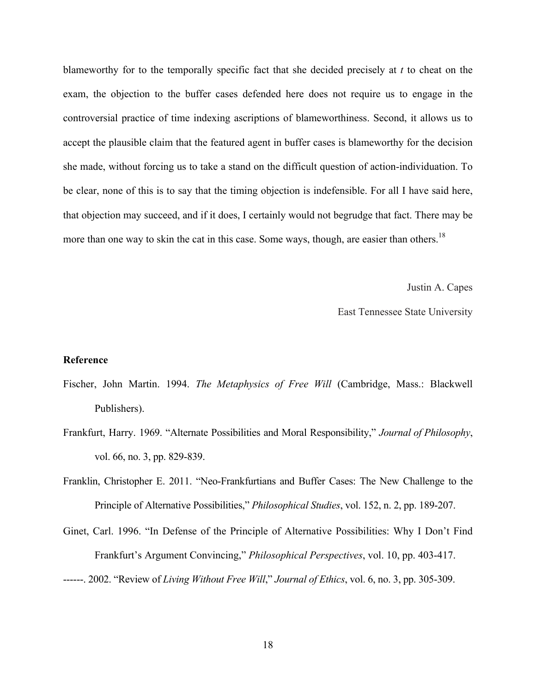blameworthy for to the temporally specific fact that she decided precisely at *t* to cheat on the exam, the objection to the buffer cases defended here does not require us to engage in the controversial practice of time indexing ascriptions of blameworthiness. Second, it allows us to accept the plausible claim that the featured agent in buffer cases is blameworthy for the decision she made, without forcing us to take a stand on the difficult question of action-individuation. To be clear, none of this is to say that the timing objection is indefensible. For all I have said here, that objection may succeed, and if it does, I certainly would not begrudge that fact. There may be more than one way to skin the cat in this case. Some ways, though, are easier than others.<sup>18</sup>

Justin A. Capes

East Tennessee State University

### **Reference**

- Fischer, John Martin. 1994. *The Metaphysics of Free Will* (Cambridge, Mass.: Blackwell Publishers).
- Frankfurt, Harry. 1969. "Alternate Possibilities and Moral Responsibility," *Journal of Philosophy*, vol. 66, no. 3, pp. 829-839.
- Franklin, Christopher E. 2011. "Neo-Frankfurtians and Buffer Cases: The New Challenge to the Principle of Alternative Possibilities," *Philosophical Studies*, vol. 152, n. 2, pp. 189-207.
- Ginet, Carl. 1996. "In Defense of the Principle of Alternative Possibilities: Why I Don't Find Frankfurt's Argument Convincing," *Philosophical Perspectives*, vol. 10, pp. 403-417. ------. 2002. "Review of *Living Without Free Will*," *Journal of Ethics*, vol. 6, no. 3, pp. 305-309.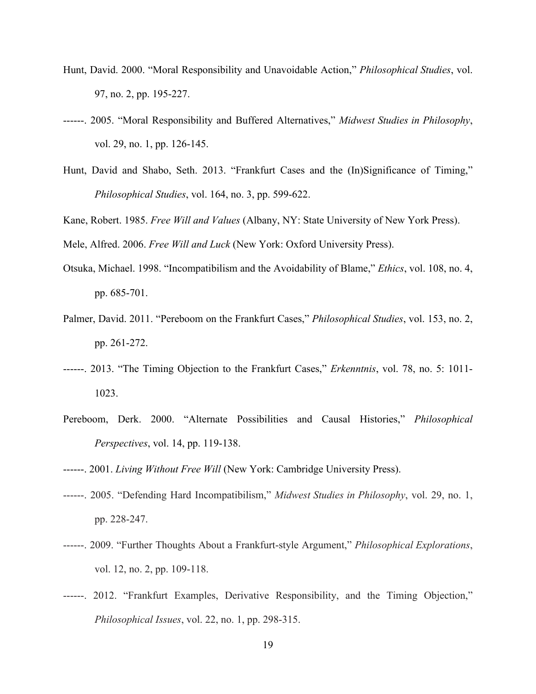- Hunt, David. 2000. "Moral Responsibility and Unavoidable Action," *Philosophical Studies*, vol. 97, no. 2, pp. 195-227.
- ------. 2005. "Moral Responsibility and Buffered Alternatives," *Midwest Studies in Philosophy*, vol. 29, no. 1, pp. 126-145.
- Hunt, David and Shabo, Seth. 2013. "Frankfurt Cases and the (In)Significance of Timing," *Philosophical Studies*, vol. 164, no. 3, pp. 599-622.

Kane, Robert. 1985. *Free Will and Values* (Albany, NY: State University of New York Press).

Mele, Alfred. 2006. *Free Will and Luck* (New York: Oxford University Press).

- Otsuka, Michael. 1998. "Incompatibilism and the Avoidability of Blame," *Ethics*, vol. 108, no. 4, pp. 685-701.
- Palmer, David. 2011. "Pereboom on the Frankfurt Cases," *Philosophical Studies*, vol. 153, no. 2, pp. 261-272.
- ------. 2013. "The Timing Objection to the Frankfurt Cases," *Erkenntnis*, vol. 78, no. 5: 1011- 1023.
- Pereboom, Derk. 2000. "Alternate Possibilities and Causal Histories," *Philosophical Perspectives*, vol. 14, pp. 119-138.
- ------. 2001. *Living Without Free Will* (New York: Cambridge University Press).
- ------. 2005. "Defending Hard Incompatibilism," *Midwest Studies in Philosophy*, vol. 29, no. 1, pp. 228-247.
- ------. 2009. "Further Thoughts About a Frankfurt-style Argument," *Philosophical Explorations*, vol. 12, no. 2, pp. 109-118.
- ------. 2012. "Frankfurt Examples, Derivative Responsibility, and the Timing Objection," *Philosophical Issues*, vol. 22, no. 1, pp. 298-315.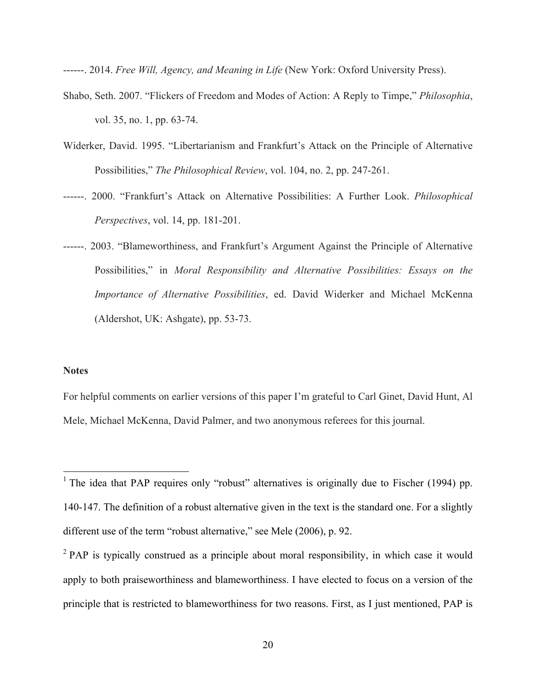------. 2014. *Free Will, Agency, and Meaning in Life* (New York: Oxford University Press).

- Shabo, Seth. 2007. "Flickers of Freedom and Modes of Action: A Reply to Timpe," *Philosophia*, vol. 35, no. 1, pp. 63-74.
- Widerker, David. 1995. "Libertarianism and Frankfurt's Attack on the Principle of Alternative Possibilities," *The Philosophical Review*, vol. 104, no. 2, pp. 247-261.
- ------. 2000. "Frankfurt's Attack on Alternative Possibilities: A Further Look. *Philosophical Perspectives*, vol. 14, pp. 181-201.
- ------. 2003. "Blameworthiness, and Frankfurt's Argument Against the Principle of Alternative Possibilities," in *Moral Responsibility and Alternative Possibilities: Essays on the Importance of Alternative Possibilities*, ed. David Widerker and Michael McKenna (Aldershot, UK: Ashgate), pp. 53-73.

## **Notes**

For helpful comments on earlier versions of this paper I'm grateful to Carl Ginet, David Hunt, Al Mele, Michael McKenna, David Palmer, and two anonymous referees for this journal.

<sup>&</sup>lt;sup>1</sup> The idea that PAP requires only "robust" alternatives is originally due to Fischer (1994) pp. 140-147. The definition of a robust alternative given in the text is the standard one. For a slightly different use of the term "robust alternative," see Mele (2006), p. 92.

 $^{2}$  PAP is typically construed as a principle about moral responsibility, in which case it would apply to both praiseworthiness and blameworthiness. I have elected to focus on a version of the principle that is restricted to blameworthiness for two reasons. First, as I just mentioned, PAP is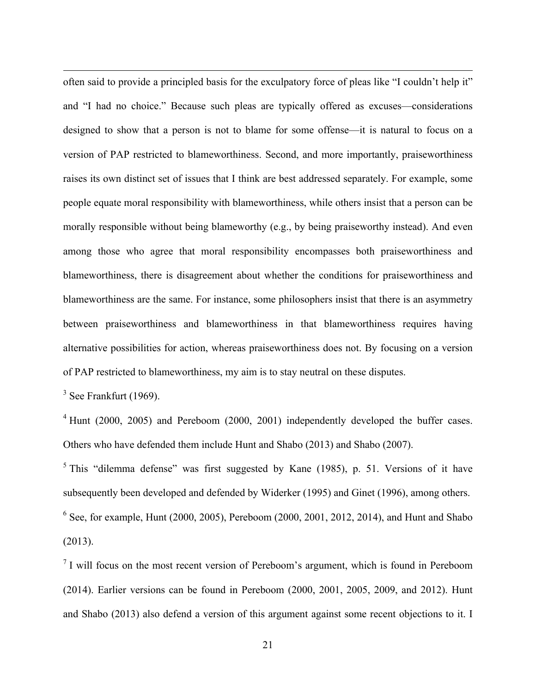often said to provide a principled basis for the exculpatory force of pleas like "I couldn't help it" and "I had no choice." Because such pleas are typically offered as excuses—considerations designed to show that a person is not to blame for some offense—it is natural to focus on a version of PAP restricted to blameworthiness. Second, and more importantly, praiseworthiness raises its own distinct set of issues that I think are best addressed separately. For example, some people equate moral responsibility with blameworthiness, while others insist that a person can be morally responsible without being blameworthy (e.g., by being praiseworthy instead). And even among those who agree that moral responsibility encompasses both praiseworthiness and blameworthiness, there is disagreement about whether the conditions for praiseworthiness and blameworthiness are the same. For instance, some philosophers insist that there is an asymmetry between praiseworthiness and blameworthiness in that blameworthiness requires having alternative possibilities for action, whereas praiseworthiness does not. By focusing on a version of PAP restricted to blameworthiness, my aim is to stay neutral on these disputes.

 $3$  See Frankfurt (1969).

 $\overline{a}$ 

 $4$  Hunt (2000, 2005) and Pereboom (2000, 2001) independently developed the buffer cases. Others who have defended them include Hunt and Shabo (2013) and Shabo (2007).

 $5$  This "dilemma defense" was first suggested by Kane (1985), p. 51. Versions of it have subsequently been developed and defended by Widerker (1995) and Ginet (1996), among others.  $6$  See, for example, Hunt (2000, 2005), Pereboom (2000, 2001, 2012, 2014), and Hunt and Shabo (2013).

 $<sup>7</sup>$  I will focus on the most recent version of Pereboom's argument, which is found in Pereboom</sup> (2014). Earlier versions can be found in Pereboom (2000, 2001, 2005, 2009, and 2012). Hunt and Shabo (2013) also defend a version of this argument against some recent objections to it. I

21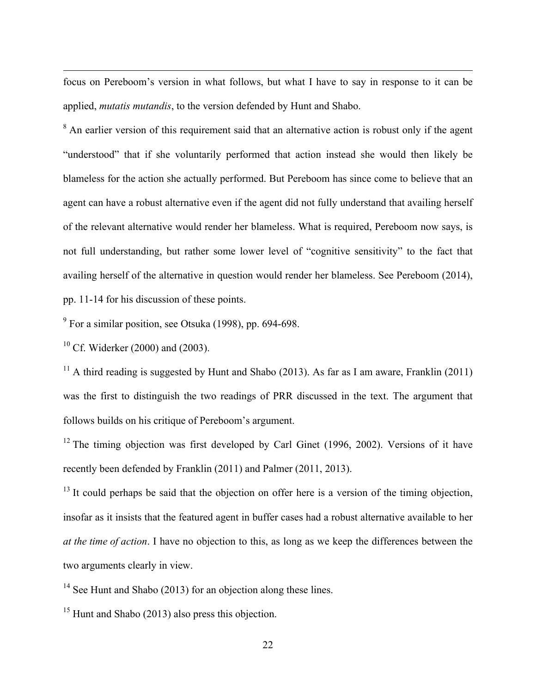focus on Pereboom's version in what follows, but what I have to say in response to it can be applied, *mutatis mutandis*, to the version defended by Hunt and Shabo.

<sup>8</sup> An earlier version of this requirement said that an alternative action is robust only if the agent "understood" that if she voluntarily performed that action instead she would then likely be blameless for the action she actually performed. But Pereboom has since come to believe that an agent can have a robust alternative even if the agent did not fully understand that availing herself of the relevant alternative would render her blameless. What is required, Pereboom now says, is not full understanding, but rather some lower level of "cognitive sensitivity" to the fact that availing herself of the alternative in question would render her blameless. See Pereboom (2014), pp. 11-14 for his discussion of these points.

<sup>9</sup> For a similar position, see Otsuka (1998), pp. 694-698.

 $10$  Cf. Widerker (2000) and (2003).

 $\overline{a}$ 

<sup>11</sup> A third reading is suggested by Hunt and Shabo (2013). As far as I am aware, Franklin (2011) was the first to distinguish the two readings of PRR discussed in the text. The argument that follows builds on his critique of Pereboom's argument.

<sup>12</sup> The timing objection was first developed by Carl Ginet (1996, 2002). Versions of it have recently been defended by Franklin (2011) and Palmer (2011, 2013).

 $13$  It could perhaps be said that the objection on offer here is a version of the timing objection, insofar as it insists that the featured agent in buffer cases had a robust alternative available to her *at the time of action*. I have no objection to this, as long as we keep the differences between the two arguments clearly in view.

<sup>14</sup> See Hunt and Shabo (2013) for an objection along these lines.

<sup>15</sup> Hunt and Shabo (2013) also press this objection.